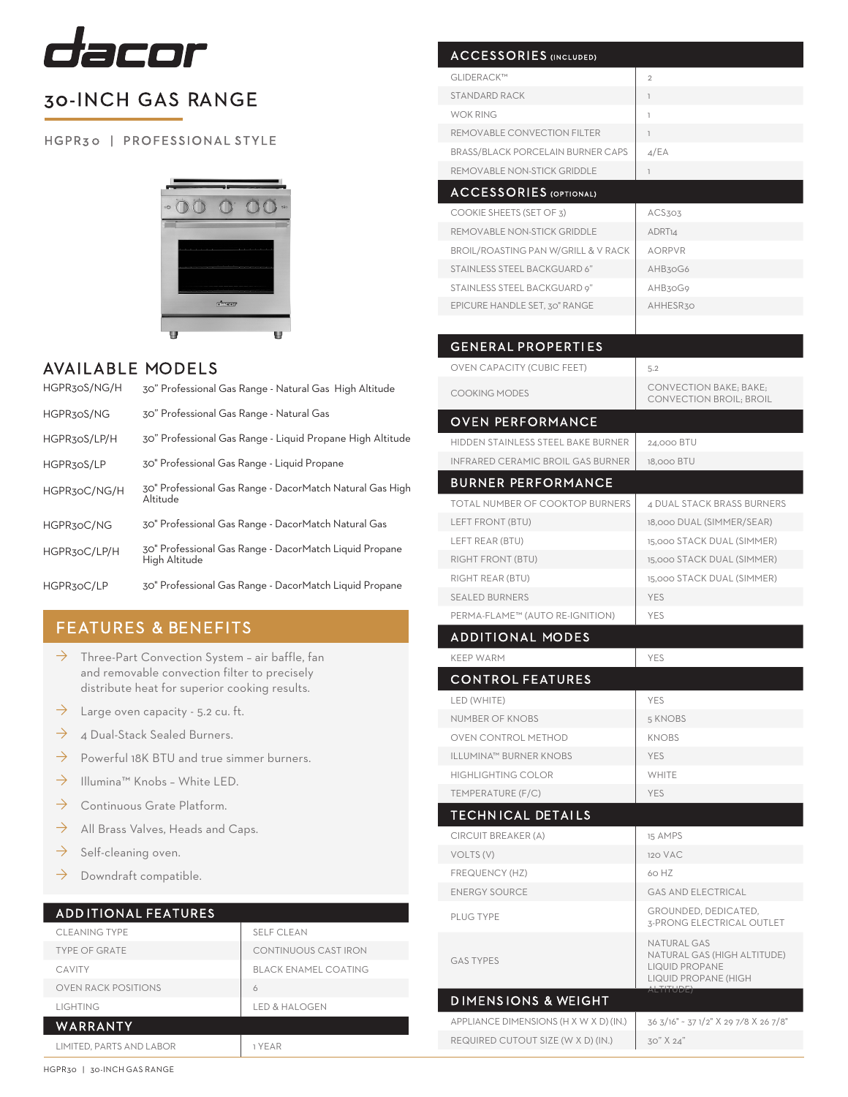

# 30-INCH GAS RANGE

HGPR30 | PROFESSIONAL STYLE



### AVAILABLE MODELS

| HGPR30S/NG/H | 30" Professional Gas Range - Natural Gas High Altitude                  |
|--------------|-------------------------------------------------------------------------|
| HGPR30S/NG   | 30" Professional Gas Range - Natural Gas                                |
| HGPR30S/LP/H | 30" Professional Gas Range - Liquid Propane High Altitude               |
| HGPR30S/LP   | 30" Professional Gas Range - Liquid Propane                             |
| HGPR3oC/NG/H | 30" Professional Gas Range - DacorMatch Natural Gas High<br>Altitude    |
| HGPR30C/NG   | 30" Professional Gas Range - DacorMatch Natural Gas                     |
| HGPR30C/LP/H | 30" Professional Gas Range - DacorMatch Liquid Propane<br>High Altitude |
| HGPR30C/LP   | 30" Professional Gas Range - DacorMatch Liquid Propane                  |

## FEATURES & BENEFITS

- $\rightarrow$  Three-Part Convection System air baffle, fan and removable convection filter to precisely distribute heat for superior cooking results.
- $\rightarrow$  Large oven capacity 5.2 cu. ft.
- $\rightarrow$  4 Dual-Stack Sealed Burners.
- $\rightarrow$  Powerful 18K BTU and true simmer burners.
- $\rightarrow$  Illumina™ Knobs White LED.
- $\rightarrow$  Continuous Grate Platform.
- $\rightarrow$  All Brass Valves, Heads and Caps.
- $\rightarrow$  Self-cleaning oven.
- $\rightarrow$  Downdraft compatible.

#### ADD ITIONAL FEATURES

| <b>CLEANING TYPE</b>       | <b>SELF CLEAN</b>           |  |  |  |
|----------------------------|-----------------------------|--|--|--|
| <b>TYPE OF GRATE</b>       | CONTINUOUS CAST IRON        |  |  |  |
| <b>CAVITY</b>              | <b>BLACK ENAMEL COATING</b> |  |  |  |
| <b>OVEN RACK POSITIONS</b> | 6                           |  |  |  |
| <b>LIGHTING</b>            | <b>LED &amp; HALOGEN</b>    |  |  |  |
| WARRANTY                   |                             |  |  |  |
| LIMITED. PARTS AND LABOR   | 1 YEAR                      |  |  |  |

GLIDERACK™ 2 STANDARD RACK 1 WOK RING THE RESERVE THAT I REMOVABLE CONVECTION FILTER 1 BRASS/BLACK PORCELAIN BURNER CAPS 4/EA REMOVABLE NON-STICK GRIDDLE 1 ACCESSORIES (OPTIONAL) COOKIE SHEETS (SET OF 3) ACS303 REMOVABLE NON-STICK GRIDDLE ADRT14  $BROIL/ROASTING PAN W/GRILL & V RACK$   $AORPVR$ STAINLESS STEEL BACKGUARD 6" AHB30G6 STAINLESS STEEL BACKGUARD 9" AHB30G9 GENERAL PROPERTI ES OVEN CAPACITY (CUBIC FEET) 5.2 COOKING MODES CONVECTION BAKE; BAKE; CONVECTION BROIL; BROIL OVEN PERFORMANCE HIDDEN STAINLESS STEEL BAKE BURNER | 24,000 BTU INFRARED CERAMIC BROIL GAS BURNER 18,000 BTU BURNER PERFORMANCE TOTAL NUMBER OF COOKTOP BURNERS 4 DUAL STACK BRASS BURNERS LEFT FRONT (BTU) 18,000 DUAL (SIMMER/SEAR) LEFT REAR (BTU)  $15,000$  STACK DUAL (SIMMER) RIGHT FRONT (BTU)  $\Big|$  15,000 STACK DUAL (SIMMER) RIGHT REAR (BTU) 15,000 STACK DUAL (SIMMER) SEALED BURNERS YES PERMA-FLAME™ (AUTO RE-IGNITION) YES **ADDITIONAL MODES** KEEP WARM YES CONTROL FEATURES LED (WHITE) YES NUMBER OF KNOBS 5 KNOBS OVEN CONTROL METHOD KNOBS ILLUMINA™ BURNER KNOBS YES HIGHLIGHTING COLOR WHITE TEMPERATURE (F/C) YES TECHN ICAL DETAI LS CIRCUIT BREAKER (A) 15 AMPS VOLTS (V) 120 VAC FREQUENCY (HZ) 60 HZ ENERGY SOURCE GAS AND ELECTRICAL PLUG TYPE GROUNDED, DEDICATED, 3-PRONG ELECTRICAL OUTLET GAS TYPES NATURAL GAS NATURAL GAS (HIGH ALTITUDE) LIQUID PROPANE LIQUID PROPANE (HIGH ALTITUDE) D IMENS IONS & WEIGHT APPLIANCE DIMENSIONS (H X W X D) (IN.) 36 3/16" ~ 37 1/2" X 29 7⁄8 X 26 7/8" REQUIRED CUTOUT SIZE (W X D) (IN.) 30" X 24" EPICURE HANDLE SET, 30" RANGE AHHESR30

ACCESSORIES (INCLUDED)

HGPR30 | 30-INCH GAS RANGE